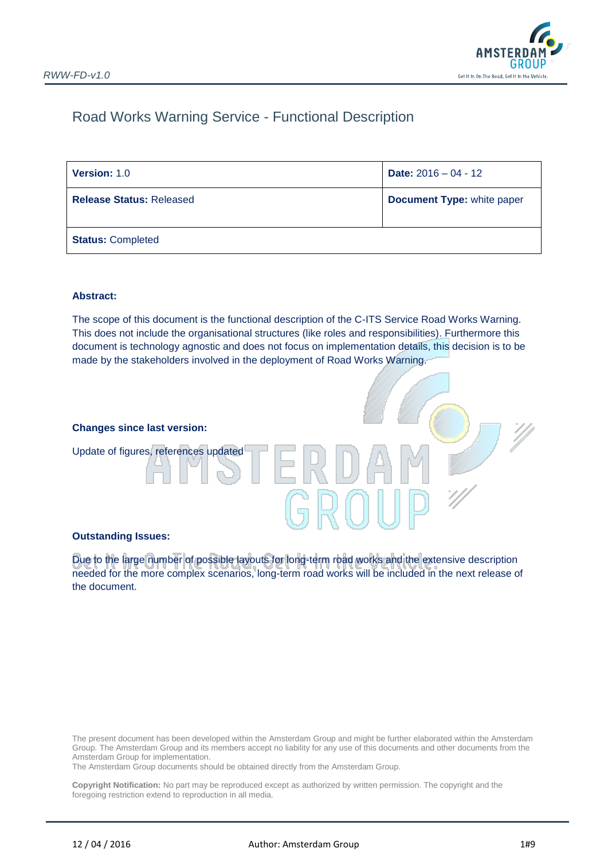

## Road Works Warning Service - Functional Description

| <b>Version: 1.0</b>             | <b>Date:</b> $2016 - 04 - 12$     |
|---------------------------------|-----------------------------------|
| <b>Release Status: Released</b> | <b>Document Type: white paper</b> |
| <b>Status: Completed</b>        |                                   |

#### **Abstract:**

The scope of this document is the functional description of the C-ITS Service Road Works Warning. This does not include the organisational structures (like roles and responsibilities). Furthermore this document is technology agnostic and does not focus on implementation details, this decision is to be made by the stakeholders involved in the deployment of Road Works Warning.

#### **Changes since last version:**

Update of figures, references updated

#### **Outstanding Issues:**

Due to the large number of possible layouts for long-term road works and the extensive description needed for the more complex scenarios, long-term road works will be included in the next release of the document.

The present document has been developed within the Amsterdam Group and might be further elaborated within the Amsterdam Group. The Amsterdam Group and its members accept no liability for any use of this documents and other documents from the Amsterdam Group for implementation.

The Amsterdam Group documents should be obtained directly from the Amsterdam Group.

**Copyright Notification:** No part may be reproduced except as authorized by written permission. The copyright and the foregoing restriction extend to reproduction in all media.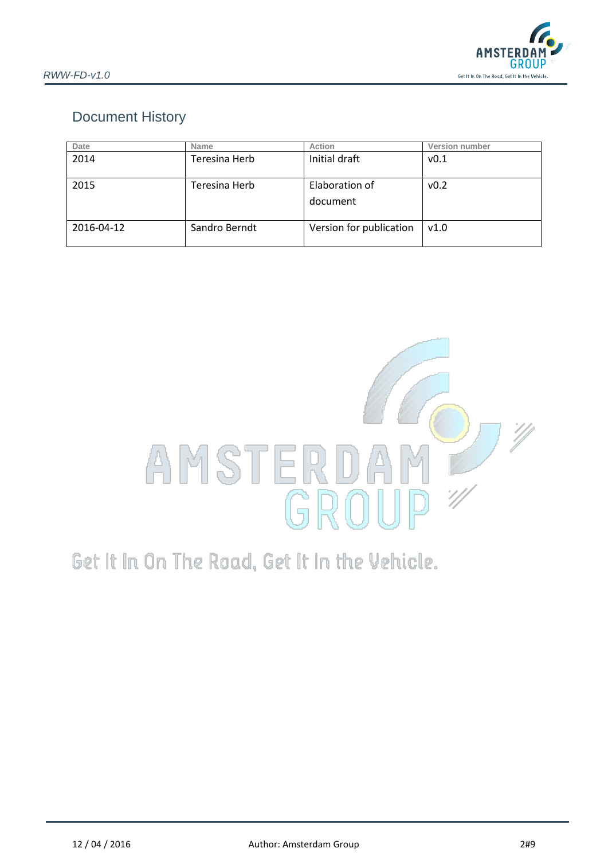

## Document History

| Date       | <b>Name</b>   | Action                     | Version number |
|------------|---------------|----------------------------|----------------|
| 2014       | Teresina Herb | Initial draft              | v0.1           |
| 2015       | Teresina Herb | Elaboration of<br>document | v0.2           |
| 2016-04-12 | Sandro Berndt | Version for publication    | v1.0           |



# Get It In On The Road, Get It In the Vehicle.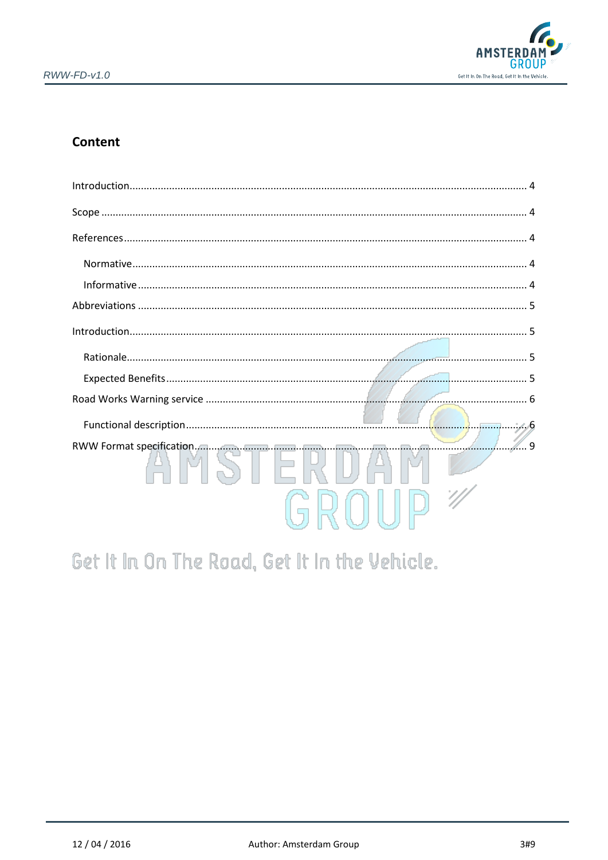

## Content

| ∕ 9 |  |
|-----|--|

# Get It In On The Road, Get It In the Vehicle.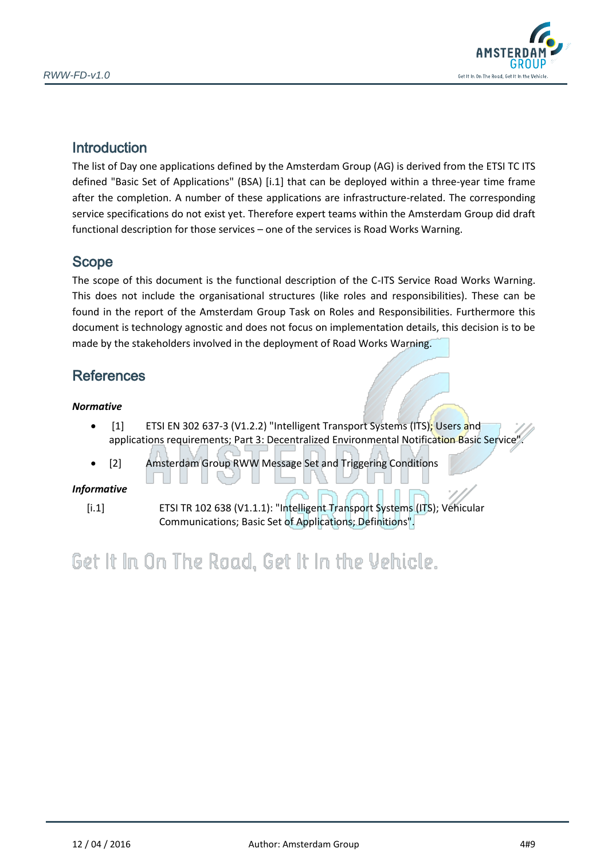

## <span id="page-3-0"></span>**Introduction**

The list of Day one applications defined by the Amsterdam Group (AG) is derived from the ETSI TC ITS defined "Basic Set of Applications" (BSA) [\[i.1\]](#page-3-5) that can be deployed within a three-year time frame after the completion. A number of these applications are infrastructure-related. The corresponding service specifications do not exist yet. Therefore expert teams within the Amsterdam Group did draft functional description for those services – one of the services is Road Works Warning.

## <span id="page-3-1"></span>Scope

The scope of this document is the functional description of the C-ITS Service Road Works Warning. This does not include the organisational structures (like roles and responsibilities). These can be found in the report of the Amsterdam Group Task on Roles and Responsibilities. Furthermore this document is technology agnostic and does not focus on implementation details, this decision is to be made by the stakeholders involved in the deployment of Road Works Warning.

## <span id="page-3-2"></span>**References**

### <span id="page-3-3"></span>*Normative*

- $\bullet$  [1] ETSI EN 302 637-3 (V1.2.2) "Intelligent Transport Systems (ITS); Users and applications requirements; Part 3: Decentralized Environmental Notification Basic Service".
- [2] Amsterdam Group RWW Message Set and Triggering Conditions

### <span id="page-3-4"></span>*Informative*

<span id="page-3-5"></span>[i.1] ETSI TR 102 638 (V1.1.1): "Intelligent Transport Systems (ITS); Vehicular Communications; Basic Set of Applications; Definitions".

# Get It In On The Road, Get It In the Vehicle.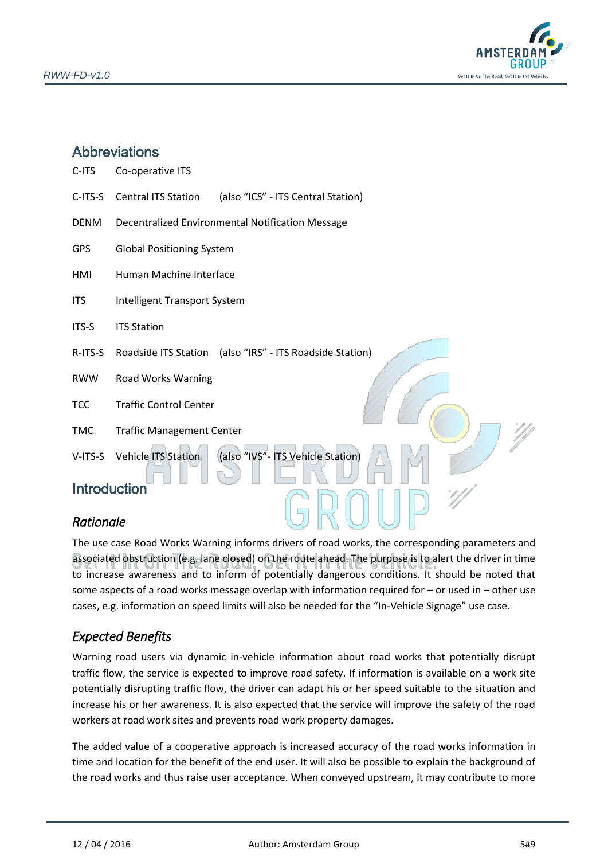

## <span id="page-4-0"></span>**Abbreviations**

| C-ITS       | Co-operative ITS                                                 |
|-------------|------------------------------------------------------------------|
| C-ITS-S     | <b>Central ITS Station</b><br>(also "ICS" - ITS Central Station) |
| <b>DENM</b> | Decentralized Environmental Notification Message                 |
| <b>GPS</b>  | <b>Global Positioning System</b>                                 |
| HMI         | Human Machine Interface                                          |
| <b>ITS</b>  | Intelligent Transport System                                     |
| ITS-S       | <b>ITS Station</b>                                               |
| R-ITS-S     | Roadside ITS Station (also "IRS" - ITS Roadside Station)         |
| <b>RWW</b>  | Road Works Warning                                               |
| <b>TCC</b>  | <b>Traffic Control Center</b>                                    |
| <b>TMC</b>  | <b>Traffic Management Center</b>                                 |
| V-ITS-S     | (also "IVS"- ITS Vehicle Station)<br><b>Vehicle ITS Station</b>  |

## <span id="page-4-1"></span>Introduction

## <span id="page-4-2"></span>*Rationale*

The use case Road Works Warning informs drivers of road works, the corresponding parameters and associated obstruction (e.g. lane closed) on the route ahead. The purpose is to alert the driver in time to increase awareness and to inform of potentially dangerous conditions. It should be noted that some aspects of a road works message overlap with information required for – or used in – other use cases, e.g. information on speed limits will also be needed for the "In-Vehicle Signage" use case.

## <span id="page-4-3"></span>*Expected Benefits*

Warning road users via dynamic in-vehicle information about road works that potentially disrupt traffic flow, the service is expected to improve road safety. If information is available on a work site potentially disrupting traffic flow, the driver can adapt his or her speed suitable to the situation and increase his or her awareness. It is also expected that the service will improve the safety of the road workers at road work sites and prevents road work property damages.

The added value of a cooperative approach is increased accuracy of the road works information in time and location for the benefit of the end user. It will also be possible to explain the background of the road works and thus raise user acceptance. When conveyed upstream, it may contribute to more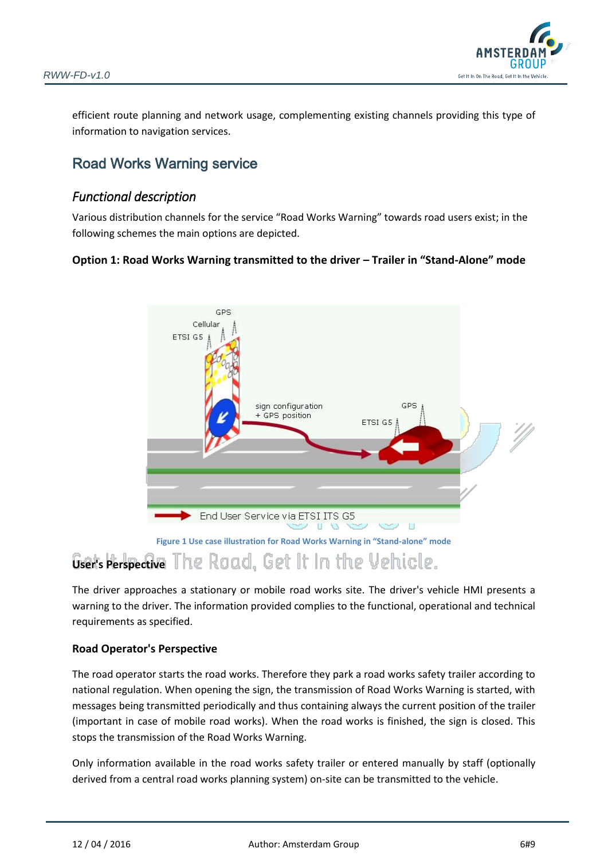

efficient route planning and network usage, complementing existing channels providing this type of information to navigation services.

## <span id="page-5-0"></span>Road Works Warning service

## <span id="page-5-1"></span>*Functional description*

Various distribution channels for the service "Road Works Warning" towards road users exist; in the following schemes the main options are depicted.

### **Option 1: Road Works Warning transmitted to the driver – Trailer in "Stand-Alone" mode**



## **User's Perspective** The Road. Get It In the Vehicle.

The driver approaches a stationary or mobile road works site. The driver's vehicle HMI presents a warning to the driver. The information provided complies to the functional, operational and technical requirements as specified.

### **Road Operator's Perspective**

The road operator starts the road works. Therefore they park a road works safety trailer according to national regulation. When opening the sign, the transmission of Road Works Warning is started, with messages being transmitted periodically and thus containing always the current position of the trailer (important in case of mobile road works). When the road works is finished, the sign is closed. This stops the transmission of the Road Works Warning.

Only information available in the road works safety trailer or entered manually by staff (optionally derived from a central road works planning system) on-site can be transmitted to the vehicle.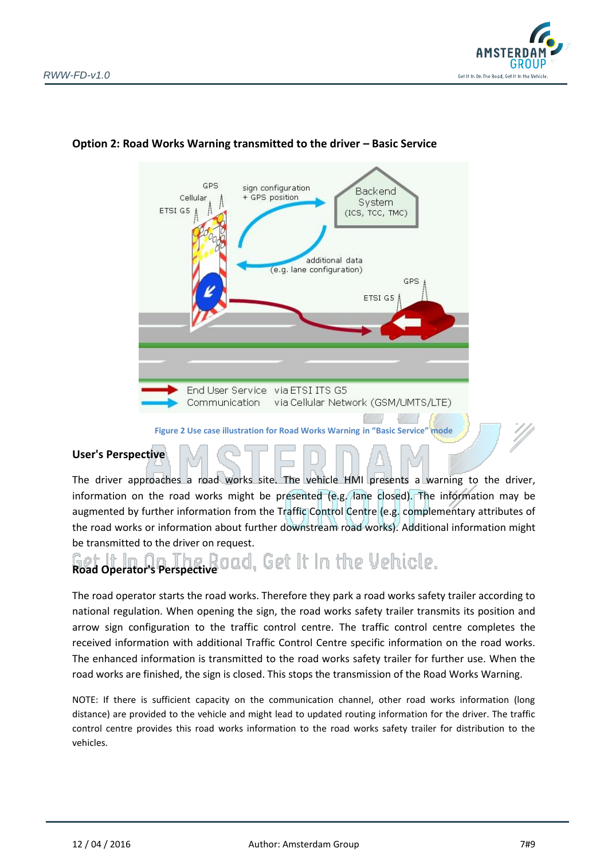



## **Option 2: Road Works Warning transmitted to the driver – Basic Service**

#### **Figure 2 Use case illustration for Road Works Warning in "Basic Service" mode**

### **User's Perspective**

The driver approaches a road works site. The vehicle HMI presents a warning to the driver, information on the road works might be presented (e.g. lane closed). The information may be augmented by further information from the Traffic Control Centre (e.g. complementary attributes of the road works or information about further downstream road works). Additional information might be transmitted to the driver on request.

# **Road Operator's Perspective** Oad, Get It In the Vehicle.

The road operator starts the road works. Therefore they park a road works safety trailer according to national regulation. When opening the sign, the road works safety trailer transmits its position and arrow sign configuration to the traffic control centre. The traffic control centre completes the received information with additional Traffic Control Centre specific information on the road works. The enhanced information is transmitted to the road works safety trailer for further use. When the road works are finished, the sign is closed. This stops the transmission of the Road Works Warning.

NOTE: If there is sufficient capacity on the communication channel, other road works information (long distance) are provided to the vehicle and might lead to updated routing information for the driver. The traffic control centre provides this road works information to the road works safety trailer for distribution to the vehicles.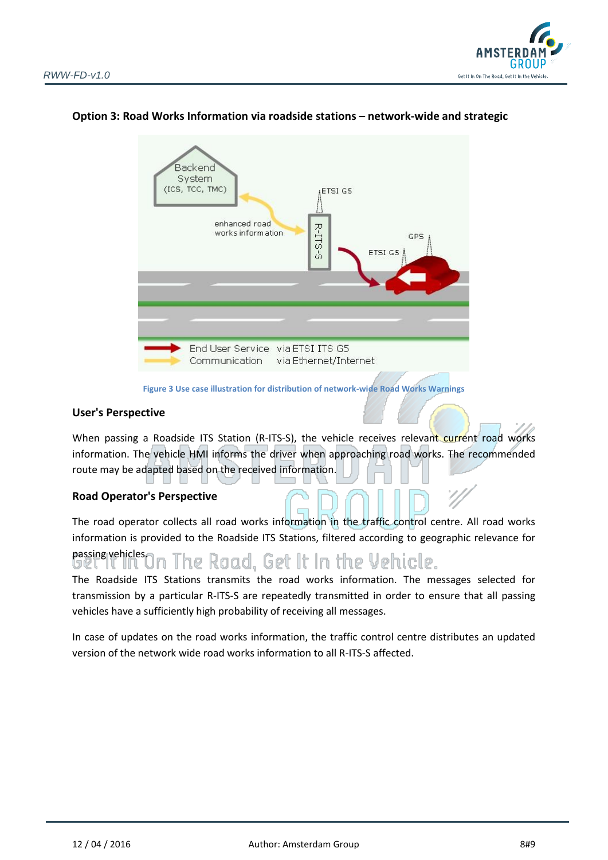



#### **Option 3: Road Works Information via roadside stations – network-wide and strategic**



#### **User's Perspective**

When passing a Roadside ITS Station (R-ITS-S), the vehicle receives relevant current road works information. The vehicle HMI informs the driver when approaching road works. The recommended route may be adapted based on the received information.

#### **Road Operator's Perspective**

The road operator collects all road works information in the traffic control centre. All road works information is provided to the Roadside ITS Stations, filtered according to geographic relevance for

## passing vehicles. The Road. Get It In the Vehicle. コビー

The Roadside ITS Stations transmits the road works information. The messages selected for transmission by a particular R-ITS-S are repeatedly transmitted in order to ensure that all passing vehicles have a sufficiently high probability of receiving all messages.

In case of updates on the road works information, the traffic control centre distributes an updated version of the network wide road works information to all R-ITS-S affected.